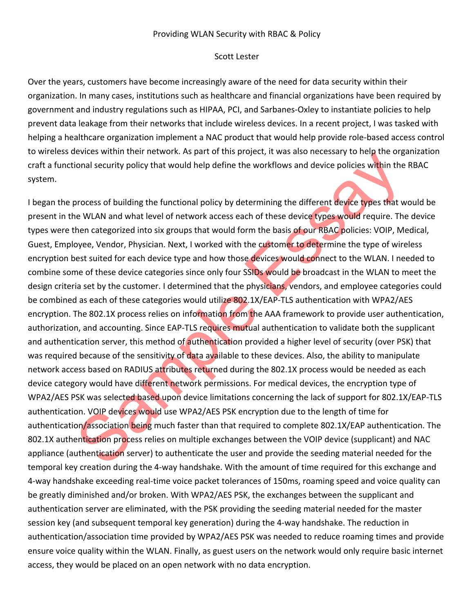## Providing WLAN Security with RBAC & Policy

## Scott Lester

Over the years, customers have become increasingly aware of the need for data security within their organization. In many cases, institutions such as healthcare and financial organizations have been required by government and industry regulations such as HIPAA, PCI, and Sarbanes-Oxley to instantiate policies to help prevent data leakage from their networks that include wireless devices. In a recent project, I was tasked with helping a healthcare organization implement a NAC product that would help provide role-based access control to wireless devices within their network. As part of this project, it was also necessary to help the organization craft a functional security policy that would help define the workflows and device policies within the RBAC system.

evices within their hetwork. As part of this project, it was also hetessay to nee organization<br>social security policy that would help define the workflows and device policies within the<br>process of building the functional p I began the process of building the functional policy by determining the different device types that would be present in the WLAN and what level of network access each of these device types would require. The device types were then categorized into six groups that would form the basis of our RBAC policies: VOIP, Medical, Guest, Employee, Vendor, Physician. Next, I worked with the customer to determine the type of wireless encryption best suited for each device type and how those devices would connect to the WLAN. I needed to combine some of these device categories since only four SSIDs would be broadcast in the WLAN to meet the design criteria set by the customer. I determined that the physicians, vendors, and employee categories could be combined as each of these categories would utilize 802.1X/EAP-TLS authentication with WPA2/AES encryption. The 802.1X process relies on information from the AAA framework to provide user authentication, authorization, and accounting. Since EAP-TLS requires mutual authentication to validate both the supplicant and authentication server, this method of authentication provided a higher level of security (over PSK) that was required because of the sensitivity of data available to these devices. Also, the ability to manipulate network access based on RADIUS attributes returned during the 802.1X process would be needed as each device category would have different network permissions. For medical devices, the encryption type of WPA2/AES PSK was selected based upon device limitations concerning the lack of support for 802.1X/EAP-TLS authentication. VOIP devices would use WPA2/AES PSK encryption due to the length of time for authentication/association being much faster than that required to complete 802.1X/EAP authentication. The 802.1X authentication process relies on multiple exchanges between the VOIP device (supplicant) and NAC appliance (authentication server) to authenticate the user and provide the seeding material needed for the temporal key creation during the 4-way handshake. With the amount of time required for this exchange and 4-way handshake exceeding real-time voice packet tolerances of 150ms, roaming speed and voice quality can be greatly diminished and/or broken. With WPA2/AES PSK, the exchanges between the supplicant and authentication server are eliminated, with the PSK providing the seeding material needed for the master session key (and subsequent temporal key generation) during the 4-way handshake. The reduction in authentication/association time provided by WPA2/AES PSK was needed to reduce roaming times and provide ensure voice quality within the WLAN. Finally, as guest users on the network would only require basic internet access, they would be placed on an open network with no data encryption.